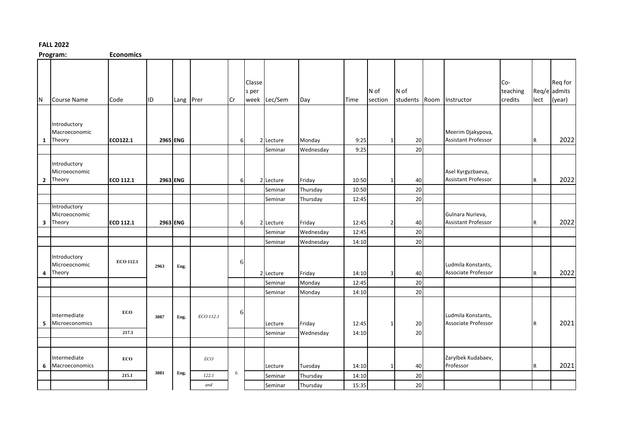## **FALL 2022**

**Program: Economics**

|     | ……………                                     | ----------       |          |           |           |          |                 |              |                     |       |                 |          |                                                  |                            |      |                                   |
|-----|-------------------------------------------|------------------|----------|-----------|-----------|----------|-----------------|--------------|---------------------|-------|-----------------|----------|--------------------------------------------------|----------------------------|------|-----------------------------------|
| IN. | <b>Course Name</b>                        | Code             | ID.      | Lang Prer |           | Cr       | Classe<br>s per | week Lec/Sem | Day                 | Time  | N of<br>section | N of     | students Room Instructor                         | Co-<br>teaching<br>credits | lect | Req for<br>Req/e admits<br>(year) |
|     |                                           |                  |          |           |           |          |                 |              |                     |       |                 |          |                                                  |                            |      |                                   |
| 1   | Introductory<br>Macroeconomic<br>Theory   | ECO122.1         |          | 2965 ENG  |           | 6        |                 | 2 Lecture    | Monday              | 9:25  |                 | 20       | Meerim Djakypova,<br><b>Assistant Professor</b>  |                            | IR.  | 2022                              |
|     |                                           |                  |          |           |           |          |                 | Seminar      | Wednesday           | 9:25  |                 | 20       |                                                  |                            |      |                                   |
|     | Introductory<br>Microeocnomic<br>2 Theory | <b>ECO 112.1</b> | 2963 ENG |           |           | $6 \mid$ |                 | 2 Lecture    | Friday              | 10:50 | -1              | 40       | Asel Kyrgyzbaeva,<br><b>Assistant Professor</b>  |                            | IR.  | 2022                              |
|     |                                           |                  |          |           |           |          |                 | Seminar      | Thursday            | 10:50 |                 | 20       |                                                  |                            |      |                                   |
|     |                                           |                  |          |           |           |          |                 | Seminar      | Thursday            | 12:45 |                 | 20       |                                                  |                            |      |                                   |
| 3   | Introductory<br>Microeocnomic<br>Theory   | <b>ECO 112.1</b> |          | 2963 ENG  |           | 6        |                 | 2 Lecture    | Friday              | 12:45 | 2               | 40       | Gulnara Nurieva,<br><b>Assistant Professor</b>   |                            | IR.  | 2022                              |
|     |                                           |                  |          |           |           |          |                 | Seminar      | Wednesday           | 12:45 |                 | 20       |                                                  |                            |      |                                   |
|     |                                           |                  |          |           |           |          |                 | Seminar      | Wednesday           | 14:10 |                 | 20       |                                                  |                            |      |                                   |
| 4   | Introductory<br>Microeocnomic<br>Theory   | <b>ECO 112.1</b> | 2963     | Eng.      |           | 6        |                 | 2 Lecture    | Friday              | 14:10 | 3               | 40       | Ludmila Konstants,<br>Associate Professor        |                            | IR.  | 2022                              |
|     |                                           |                  |          |           |           |          |                 | Seminar      | Monday              | 12:45 |                 | 20       |                                                  |                            |      |                                   |
|     |                                           |                  |          |           |           |          |                 | Seminar      | Monday              | 14:10 |                 | 20       |                                                  |                            |      |                                   |
| 5   | Intermediate<br>Microeconomics            | ECO<br>217.1     | 3087     | Eng.      | ECO 112.1 | 6        |                 | Lecture      | Friday<br>Wednesday | 12:45 |                 | 20<br>20 | Ludmila Konstants,<br><b>Associate Professor</b> |                            | IR.  | 2021                              |
|     |                                           |                  |          |           |           |          |                 | Seminar      |                     | 14:10 |                 |          |                                                  |                            |      |                                   |
|     |                                           |                  |          |           |           |          |                 |              |                     |       |                 |          |                                                  |                            |      |                                   |
| 6   | Intermediate<br>Macroeconomics            | ECO              |          |           | ECO       |          |                 | Lecture      | Tuesday             | 14:10 | $\mathbf{1}$    | 40       | Zarylbek Kudabaev,<br>Professor                  |                            | IR.  | 2021                              |
|     |                                           | 215.1            | 3081     | Eng.      | 122.1     | 6        |                 | Seminar      | Thursday            | 14:10 |                 | 20       |                                                  |                            |      |                                   |
|     |                                           |                  |          |           | and       |          |                 | Seminar      | Thursday            | 15:35 |                 | 20       |                                                  |                            |      |                                   |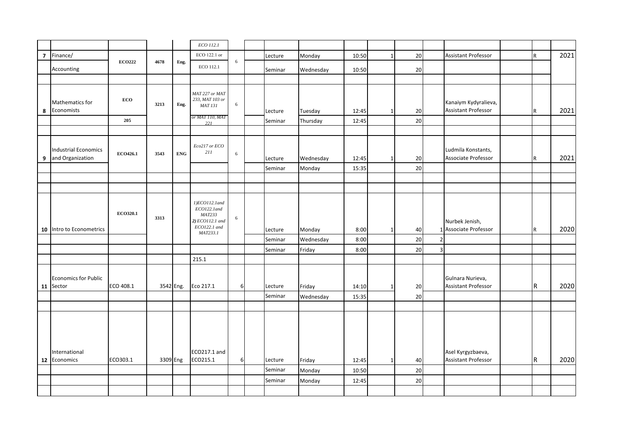|                |                                                 |               |          |            | ECO 112.1                                                                                    |          |         |           |       |              |    |                |                                                    |     |      |
|----------------|-------------------------------------------------|---------------|----------|------------|----------------------------------------------------------------------------------------------|----------|---------|-----------|-------|--------------|----|----------------|----------------------------------------------------|-----|------|
| $\overline{7}$ | Finance/                                        |               |          |            | ECO 122.1 or                                                                                 |          | Lecture | Monday    | 10:50 | $\mathbf{1}$ | 20 |                | <b>Assistant Professor</b>                         | R   | 2021 |
|                |                                                 | <b>ECO222</b> | 4678     | Eng.       | ECO 112.1                                                                                    | 6        |         |           |       |              |    |                |                                                    |     |      |
|                | Accounting                                      |               |          |            |                                                                                              |          | Seminar | Wednesday | 10:50 |              | 20 |                |                                                    |     |      |
|                |                                                 |               |          |            |                                                                                              |          |         |           |       |              |    |                |                                                    |     |      |
| 8              | Mathematics for<br>Economists                   | ECO           | 3213     | Eng.       | MAT 227 or MAT<br>233, MAT 103 or<br><b>MAT 131</b><br>or MAT 110, MAT                       | 6        | Lecture | Tuesday   | 12:45 | $\mathbf{1}$ | 20 |                | Kanaiym Kydyralieva,<br><b>Assistant Professor</b> | IR. | 2021 |
|                |                                                 | 205           |          |            | 221                                                                                          |          | Seminar | Thursday  | 12:45 |              | 20 |                |                                                    |     |      |
|                |                                                 |               |          |            |                                                                                              |          |         |           |       |              |    |                |                                                    |     |      |
| 9              | <b>Industrial Economics</b><br>and Organization | ECO426.1      | 3543     | <b>ENG</b> | Eco217 or ECO<br>211                                                                         | 6        | Lecture | Wednesday | 12:45 | -1           | 20 |                | Ludmila Konstants,<br>Associate Professor          | R   | 2021 |
|                |                                                 |               |          |            |                                                                                              |          | Seminar | Monday    | 15:35 |              | 20 |                |                                                    |     |      |
|                |                                                 |               |          |            |                                                                                              |          |         |           |       |              |    |                |                                                    |     |      |
|                |                                                 |               |          |            |                                                                                              |          |         |           |       |              |    |                |                                                    |     |      |
|                | 10 Intro to Econometrics                        | ECO320.1      | 3313     |            | 1)ECO112.1and<br>ECO122.1and<br><b>MAT233</b><br>2) ECO112.1 and<br>ECO122.1 and<br>MAT233.1 | 6        | Lecture | Monday    | 8:00  | $\mathbf{1}$ | 40 |                | Nurbek Jenish,<br>1 Associate Professor            | IR. | 2020 |
|                |                                                 |               |          |            |                                                                                              |          | Seminar | Wednesday | 8:00  |              | 20 |                |                                                    |     |      |
|                |                                                 |               |          |            |                                                                                              |          | Seminar | Friday    | 8:00  |              | 20 | $\overline{3}$ |                                                    |     |      |
|                |                                                 |               |          |            | 215.1                                                                                        |          |         |           |       |              |    |                |                                                    |     |      |
|                | Economics for Public<br>11 Sector               | ECO 408.1     |          | 3542 Eng.  | Eco 217.1                                                                                    | 6        | Lecture | Friday    | 14:10 |              | 20 |                | Gulnara Nurieva,<br><b>Assistant Professor</b>     | IR. | 2020 |
|                |                                                 |               |          |            |                                                                                              |          | Seminar | Wednesday | 15:35 |              | 20 |                |                                                    |     |      |
|                |                                                 |               |          |            |                                                                                              |          |         |           |       |              |    |                |                                                    |     |      |
|                | International<br>12 Economics                   | ECO303.1      | 3309 Eng |            | ECO217.1 and<br>ECO215.1                                                                     | $6 \mid$ | Lecture | Friday    | 12:45 | 1            | 40 |                | Asel Kyrgyzbaeva,<br><b>Assistant Professor</b>    | R.  | 2020 |
|                |                                                 |               |          |            |                                                                                              |          | Seminar | Monday    | 10:50 |              | 20 |                |                                                    |     |      |
|                |                                                 |               |          |            |                                                                                              |          | Seminar | Monday    | 12:45 |              | 20 |                |                                                    |     |      |
|                |                                                 |               |          |            |                                                                                              |          |         |           |       |              |    |                |                                                    |     |      |
|                |                                                 |               |          |            |                                                                                              |          |         |           |       |              |    |                |                                                    |     |      |